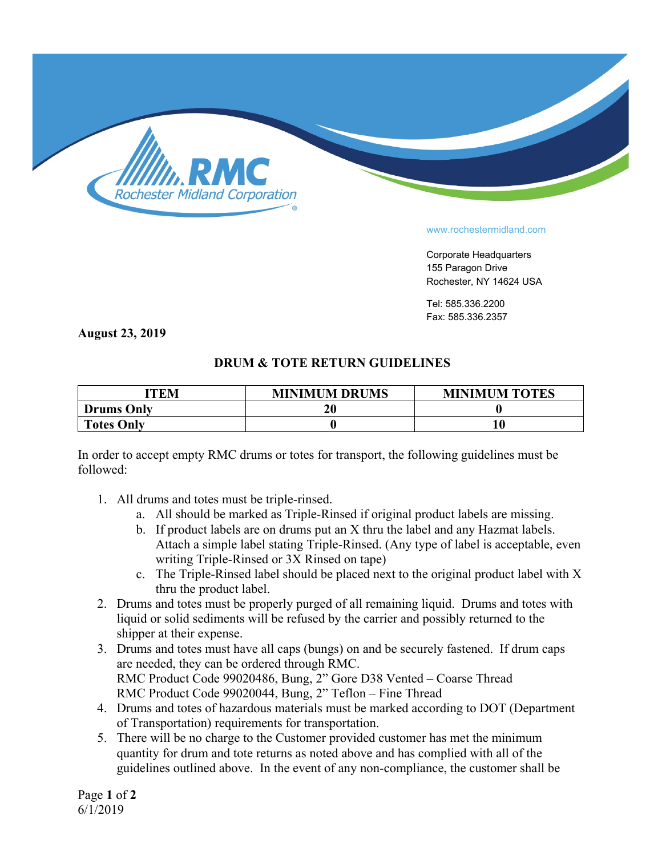

## www.rochestermidland.com

Corporate Headquarters 155 Paragon Drive Rochester, NY 14624 USA

Tel: 585.336.2200 Fax: 585.336.2357

**August 23, 2019**

## **DRUM & TOTE RETURN GUIDELINES**

| <b>TTEM</b>       | <b>MINIMUM DRUMS</b> | <b>MINIMUM TOTES</b> |
|-------------------|----------------------|----------------------|
| <b>Drums Only</b> |                      |                      |
| <b>Totes Only</b> |                      | 10                   |

In order to accept empty RMC drums or totes for transport, the following guidelines must be followed:

- 1. All drums and totes must be triple-rinsed.
	- a. All should be marked as Triple-Rinsed if original product labels are missing.
	- b. If product labels are on drums put an X thru the label and any Hazmat labels. Attach a simple label stating Triple-Rinsed. (Any type of label is acceptable, even writing Triple-Rinsed or 3X Rinsed on tape)
	- c. The Triple-Rinsed label should be placed next to the original product label with X thru the product label.
- 2. Drums and totes must be properly purged of all remaining liquid. Drums and totes with liquid or solid sediments will be refused by the carrier and possibly returned to the shipper at their expense.
- 3. Drums and totes must have all caps (bungs) on and be securely fastened. If drum caps are needed, they can be ordered through RMC. RMC Product Code 99020486, Bung, 2" Gore D38 Vented – Coarse Thread RMC Product Code 99020044, Bung, 2" Teflon – Fine Thread
- 4. Drums and totes of hazardous materials must be marked according to DOT (Department of Transportation) requirements for transportation.
- 5. There will be no charge to the Customer provided customer has met the minimum quantity for drum and tote returns as noted above and has complied with all of the guidelines outlined above. In the event of any non-compliance, the customer shall be

Page **1** of **2** 6/1/2019